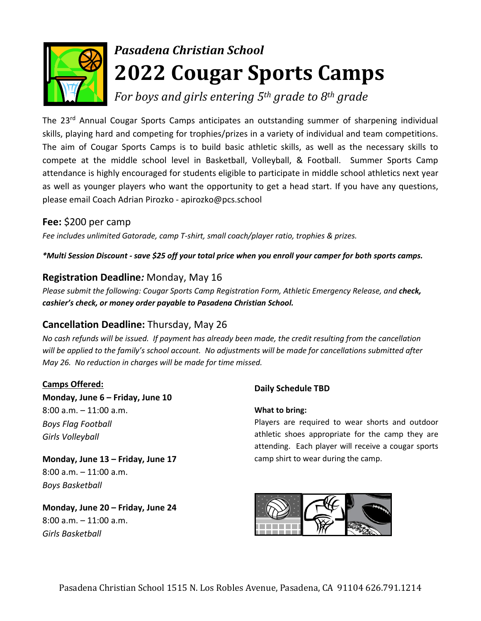

# *Pasadena Christian School* **2022 Cougar Sports Camps**

*For boys and girls entering 5th grade to 8th grade*

The 23<sup>rd</sup> Annual Cougar Sports Camps anticipates an outstanding summer of sharpening individual skills, playing hard and competing for trophies/prizes in a variety of individual and team competitions. The aim of Cougar Sports Camps is to build basic athletic skills, as well as the necessary skills to compete at the middle school level in Basketball, Volleyball, & Football. Summer Sports Camp attendance is highly encouraged for students eligible to participate in middle school athletics next year as well as younger players who want the opportunity to get a head start. If you have any questions, please email Coach Adrian Pirozko - apirozko@pcs.school

## **Fee:** \$200 per camp

*Fee includes unlimited Gatorade, camp T-shirt, small coach/player ratio, trophies & prizes.*

*\*Multi Session Discount - save \$25 off your total price when you enroll your camper for both sports camps.*

### **Registration Deadline***:* Monday, May 16

*Please submit the following: Cougar Sports Camp Registration Form, Athletic Emergency Release, and check, cashier's check, or money order payable to Pasadena Christian School.*

### **Cancellation Deadline:** Thursday, May 26

*No cash refunds will be issued. If payment has already been made, the credit resulting from the cancellation will be applied to the family's school account. No adjustments will be made for cancellations submitted after May 26. No reduction in charges will be made for time missed.*

#### **Camps Offered:**

**Monday, June 6 – Friday, June 10** 8:00 a.m. – 11:00 a.m. *Boys Flag Football Girls Volleyball*

**Monday, June 13 – Friday, June 17** 8:00 a.m. – 11:00 a.m. *Boys Basketball*

**Monday, June 20 – Friday, June 24** 8:00 a.m. – 11:00 a.m. *Girls Basketball*

#### **Daily Schedule TBD**

#### **What to bring:**

Players are required to wear shorts and outdoor athletic shoes appropriate for the camp they are attending. Each player will receive a cougar sports camp shirt to wear during the camp.

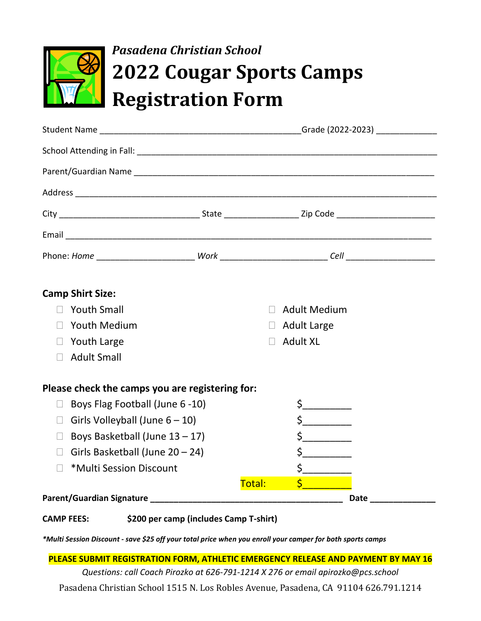

# *Pasadena Christian School* **2022 Cougar Sports Camps Registration Form**

| <b>Camp Shirt Size:</b>                         |  |        |                                                                                                                                                                                                                                                                                                                                                     |      |
|-------------------------------------------------|--|--------|-----------------------------------------------------------------------------------------------------------------------------------------------------------------------------------------------------------------------------------------------------------------------------------------------------------------------------------------------------|------|
| $\Box$ Youth Small                              |  |        | Adult Medium                                                                                                                                                                                                                                                                                                                                        |      |
| <b>Youth Medium</b><br>$\Box$                   |  |        | $\Box$ Adult Large                                                                                                                                                                                                                                                                                                                                  |      |
| $\Box$ Youth Large                              |  | $\Box$ | <b>Adult XL</b>                                                                                                                                                                                                                                                                                                                                     |      |
| <b>Adult Small</b><br>$\Box$                    |  |        |                                                                                                                                                                                                                                                                                                                                                     |      |
| Please check the camps you are registering for: |  |        |                                                                                                                                                                                                                                                                                                                                                     |      |
| Boys Flag Football (June 6-10)<br>$\Box$        |  |        | \$___________                                                                                                                                                                                                                                                                                                                                       |      |
| Girls Volleyball (June $6 - 10$ )<br>$\Box$     |  |        | $\begin{picture}(20,20) \put(0,0){\line(1,0){10}} \put(15,0){\line(1,0){10}} \put(15,0){\line(1,0){10}} \put(15,0){\line(1,0){10}} \put(15,0){\line(1,0){10}} \put(15,0){\line(1,0){10}} \put(15,0){\line(1,0){10}} \put(15,0){\line(1,0){10}} \put(15,0){\line(1,0){10}} \put(15,0){\line(1,0){10}} \put(15,0){\line(1,0){10}} \put(15,0){\line(1$ |      |
| Boys Basketball (June $13 - 17$ )<br>П.         |  |        | $\begin{picture}(20,20) \put(0,0){\line(1,0){10}} \put(15,0){\line(1,0){10}} \put(15,0){\line(1,0){10}} \put(15,0){\line(1,0){10}} \put(15,0){\line(1,0){10}} \put(15,0){\line(1,0){10}} \put(15,0){\line(1,0){10}} \put(15,0){\line(1,0){10}} \put(15,0){\line(1,0){10}} \put(15,0){\line(1,0){10}} \put(15,0){\line(1,0){10}} \put(15,0){\line(1$ |      |
| Girls Basketball (June 20 - 24)<br>$\Box$       |  |        |                                                                                                                                                                                                                                                                                                                                                     |      |
| *Multi Session Discount<br>$\Box$               |  |        | $\frac{1}{2}$                                                                                                                                                                                                                                                                                                                                       |      |
|                                                 |  | Total: | $\frac{1}{2}$ , and the set of $\frac{1}{2}$                                                                                                                                                                                                                                                                                                        |      |
|                                                 |  |        |                                                                                                                                                                                                                                                                                                                                                     | Date |
|                                                 |  |        |                                                                                                                                                                                                                                                                                                                                                     |      |

**CAMP FEES: \$200 per camp (includes Camp T-shirt)**

*\*Multi Session Discount - save \$25 off your total price when you enroll your camper for both sports camps*

**PLEASE SUBMIT REGISTRATION FORM, ATHLETIC EMERGENCY RELEASE AND PAYMENT BY MAY 16**

*Questions: call Coach Pirozko at 626-791-1214 X 276 or email apirozko@pcs.school*

Pasadena Christian School 1515 N. Los Robles Avenue, Pasadena, CA 91104 626.791.1214